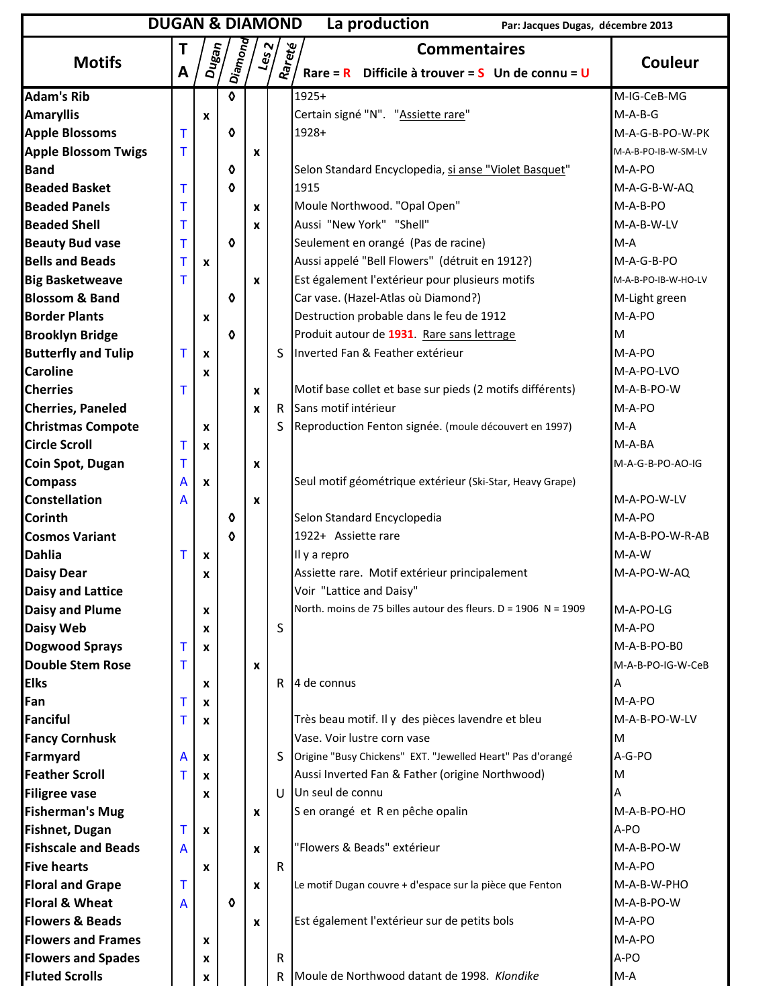| <b>DUGAN &amp; DIAMOND</b><br>La production<br>Par: Jacques Dugas, décembre 2013 |             |                          |                       |                               |              |                                                                |                     |
|----------------------------------------------------------------------------------|-------------|--------------------------|-----------------------|-------------------------------|--------------|----------------------------------------------------------------|---------------------|
|                                                                                  |             |                          |                       |                               |              | <b>Commentaires</b>                                            |                     |
| <b>Motifs</b>                                                                    | A           | $D_{\boldsymbol{u}}$ gan | Diamond               | $\frac{\text{LeS}}{\text{2}}$ | Rareté       | Difficile à trouver = $S$ Un de connu = U<br>$Rare = R$        | <b>Couleur</b>      |
| <b>Adam's Rib</b>                                                                |             |                          | 0                     |                               |              | 1925+                                                          | M-IG-CeB-MG         |
| <b>Amaryllis</b>                                                                 |             | $\pmb{\mathsf{x}}$       |                       |                               |              | Certain signé "N". "Assiette rare"                             | $M-A-B-G$           |
| <b>Apple Blossoms</b>                                                            | Τ           |                          | 0                     |                               |              | 1928+                                                          | M-A-G-B-PO-W-PK     |
| <b>Apple Blossom Twigs</b>                                                       | Τ           |                          |                       | X                             |              |                                                                | M-A-B-PO-IB-W-SM-LV |
| <b>Band</b>                                                                      |             |                          | 0                     |                               |              | Selon Standard Encyclopedia, si anse "Violet Basquet"          | M-A-PO              |
| <b>Beaded Basket</b>                                                             | т           |                          | ♦                     |                               |              | 1915                                                           | M-A-G-B-W-AQ        |
| <b>Beaded Panels</b>                                                             | т           |                          |                       | X                             |              | Moule Northwood. "Opal Open"                                   | M-A-B-PO            |
| <b>Beaded Shell</b>                                                              | т           |                          |                       | X                             |              | Aussi "New York" "Shell"                                       | M-A-B-W-LV          |
| <b>Beauty Bud vase</b>                                                           | T           |                          | $\pmb\Diamond$        |                               |              | Seulement en orangé (Pas de racine)                            | $M-A$               |
| <b>Bells and Beads</b>                                                           | T           | X                        |                       |                               |              | Aussi appelé "Bell Flowers" (détruit en 1912?)                 | M-A-G-B-PO          |
| <b>Big Basketweave</b>                                                           | т           |                          |                       | X                             |              | Est également l'extérieur pour plusieurs motifs                | M-A-B-PO-IB-W-HO-LV |
| <b>Blossom &amp; Band</b>                                                        |             |                          | 0                     |                               |              | Car vase. (Hazel-Atlas où Diamond?)                            | M-Light green       |
| <b>Border Plants</b>                                                             |             | x                        |                       |                               |              | Destruction probable dans le feu de 1912                       | M-A-PO              |
| <b>Brooklyn Bridge</b>                                                           |             |                          | 0                     |                               |              | Produit autour de 1931. Rare sans lettrage                     | M                   |
| <b>Butterfly and Tulip</b>                                                       | T           | X                        |                       |                               | ς            | Inverted Fan & Feather extérieur                               | M-A-PO              |
| <b>Caroline</b>                                                                  |             | x                        |                       |                               |              |                                                                | M-A-PO-LVO          |
| <b>Cherries</b>                                                                  | т           |                          |                       | X                             |              | Motif base collet et base sur pieds (2 motifs différents)      | M-A-B-PO-W          |
| <b>Cherries, Paneled</b>                                                         |             |                          |                       | $\mathbf{x}$                  | R            | Sans motif intérieur                                           | M-A-PO              |
| <b>Christmas Compote</b>                                                         |             | X                        |                       |                               | S            | Reproduction Fenton signée. (moule découvert en 1997)          | $M-A$               |
| <b>Circle Scroll</b>                                                             | Τ           | X                        |                       |                               |              |                                                                | M-A-BA              |
| Coin Spot, Dugan                                                                 | T           |                          |                       | X                             |              |                                                                | M-A-G-B-PO-AO-IG    |
| <b>Compass</b>                                                                   | A           | X                        |                       |                               |              | Seul motif géométrique extérieur (Ski-Star, Heavy Grape)       |                     |
| <b>Constellation</b>                                                             | A           |                          |                       | $\pmb{\mathsf{x}}$            |              |                                                                | M-A-PO-W-LV         |
| <b>Corinth</b>                                                                   |             |                          | ♦                     |                               |              | Selon Standard Encyclopedia                                    | M-A-PO              |
| <b>Cosmos Variant</b>                                                            |             |                          | 0                     |                               |              | 1922+ Assiette rare                                            | M-A-B-PO-W-R-AB     |
| <b>Dahlia</b>                                                                    | Τ           | $\boldsymbol{x}$         |                       |                               |              | Il y a repro                                                   | $M-A-W$             |
| <b>Daisy Dear</b>                                                                |             | x                        |                       |                               |              | Assiette rare. Motif extérieur principalement                  | M-A-PO-W-AQ         |
| Daisy and Lattice                                                                |             |                          |                       |                               |              | Voir "Lattice and Daisy"                                       |                     |
| <b>Daisy and Plume</b>                                                           |             | X                        |                       |                               |              | North. moins de 75 billes autour des fleurs. D = 1906 N = 1909 | M-A-PO-LG           |
| <b>Daisy Web</b>                                                                 |             | X                        |                       |                               | S            |                                                                | M-A-PO              |
| <b>Dogwood Sprays</b>                                                            | $\mathsf T$ | X                        |                       |                               |              |                                                                | M-A-B-PO-BO         |
| <b>Double Stem Rose</b>                                                          | T           |                          |                       | X                             |              |                                                                | M-A-B-PO-IG-W-CeB   |
| <b>Elks</b>                                                                      |             | x                        |                       |                               | $\mathsf{R}$ | 4 de connus                                                    | А                   |
| Fan                                                                              | Τ           | X                        |                       |                               |              |                                                                | M-A-PO              |
| <b>Fanciful</b>                                                                  | т           | x                        |                       |                               |              | Très beau motif. Il y des pièces lavendre et bleu              | M-A-B-PO-W-LV       |
| <b>Fancy Cornhusk</b>                                                            |             |                          |                       |                               |              | Vase. Voir lustre corn vase                                    | M                   |
| Farmyard                                                                         | A           | $\mathbf{x}$             |                       |                               | S            | Origine "Busy Chickens" EXT. "Jewelled Heart" Pas d'orangé     | A-G-PO              |
| <b>Feather Scroll</b>                                                            | Т           | X                        |                       |                               |              | Aussi Inverted Fan & Father (origine Northwood)                | M                   |
| <b>Filigree vase</b>                                                             |             | x                        |                       |                               | $\mathbf{U}$ | Un seul de connu                                               | А                   |
| <b>Fisherman's Mug</b>                                                           |             |                          |                       | $\pmb{\mathsf{x}}$            |              | S en orangé et R en pêche opalin                               | M-A-B-PO-HO         |
| Fishnet, Dugan                                                                   | т           | X                        |                       |                               |              |                                                                | A-PO                |
| <b>Fishscale and Beads</b>                                                       | A           |                          |                       | X                             |              | "Flowers & Beads" extérieur                                    | M-A-B-PO-W          |
| <b>Five hearts</b>                                                               |             | X                        |                       |                               | $\mathsf{R}$ |                                                                | M-A-PO              |
| <b>Floral and Grape</b>                                                          | Τ           |                          |                       | X                             |              | Le motif Dugan couvre + d'espace sur la pièce que Fenton       | M-A-B-W-PHO         |
| <b>Floral &amp; Wheat</b>                                                        | A           |                          | $\boldsymbol{\delta}$ |                               |              |                                                                | M-A-B-PO-W          |
| <b>Flowers &amp; Beads</b>                                                       |             |                          |                       | X                             |              | Est également l'extérieur sur de petits bols                   | M-A-PO              |
| <b>Flowers and Frames</b>                                                        |             | x                        |                       |                               |              |                                                                | M-A-PO              |
| <b>Flowers and Spades</b>                                                        |             | x                        |                       |                               | R            |                                                                | A-PO                |
| <b>Fluted Scrolls</b>                                                            |             | x                        |                       |                               | ${\sf R}$    | Moule de Northwood datant de 1998. Klondike                    | $M-A$               |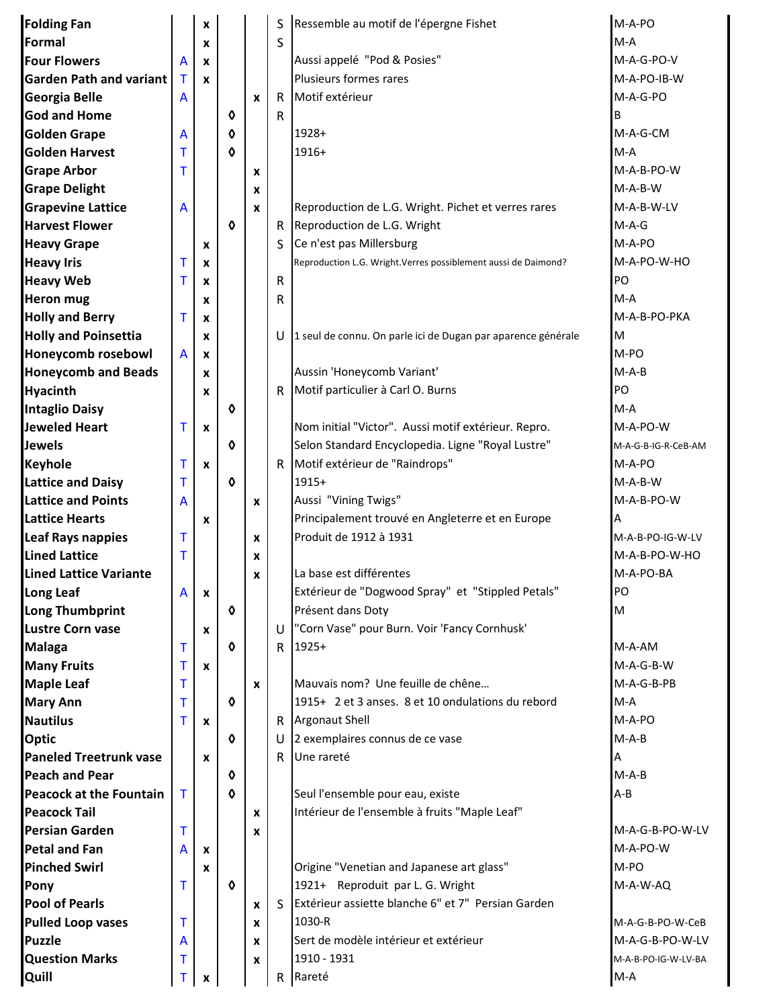| <b>Folding Fan</b>                            |                | X                  |                     |   | S            | Ressemble au motif de l'épergne Fishet                          | M-A-PO              |
|-----------------------------------------------|----------------|--------------------|---------------------|---|--------------|-----------------------------------------------------------------|---------------------|
| Formal                                        |                | X                  |                     |   | S            |                                                                 | $M-A$               |
| <b>Four Flowers</b>                           | A              | X                  |                     |   |              | Aussi appelé "Pod & Posies"                                     | M-A-G-PO-V          |
| <b>Garden Path and variant</b>                | $\mathsf T$    | X                  |                     |   |              | Plusieurs formes rares                                          | M-A-PO-IB-W         |
| <b>Georgia Belle</b>                          | A              |                    |                     | X | $\mathsf{R}$ | Motif extérieur                                                 | M-A-G-PO            |
| <b>God and Home</b>                           |                |                    | ♦                   |   | $\mathsf{R}$ |                                                                 | B                   |
| <b>Golden Grape</b>                           | A              |                    | ♦                   |   |              | 1928+                                                           | M-A-G-CM            |
| <b>Golden Harvest</b>                         | т              |                    | o                   |   |              | $1916+$                                                         | $M-A$               |
| <b>Grape Arbor</b>                            | т              |                    |                     | x |              |                                                                 | M-A-B-PO-W          |
| <b>Grape Delight</b>                          |                |                    |                     | X |              |                                                                 | $M-A-B-W$           |
| <b>Grapevine Lattice</b>                      | A              |                    |                     | X |              | Reproduction de L.G. Wright. Pichet et verres rares             | M-A-B-W-LV          |
| <b>Harvest Flower</b>                         |                |                    | $\ddot{\mathbf{0}}$ |   | R.           | Reproduction de L.G. Wright                                     | $M-A-G$             |
| <b>Heavy Grape</b>                            |                | X                  |                     |   | S            | Ce n'est pas Millersburg                                        | M-A-PO              |
| <b>Heavy Iris</b>                             | т              | X                  |                     |   |              | Reproduction L.G. Wright. Verres possiblement aussi de Daimond? | M-A-PO-W-HO         |
| <b>Heavy Web</b>                              | т              | X                  |                     |   | ${\sf R}$    |                                                                 | PO                  |
| <b>Heron mug</b>                              |                | x                  |                     |   | R            |                                                                 | $M-A$               |
| <b>Holly and Berry</b>                        | т              | X                  |                     |   |              |                                                                 | M-A-B-PO-PKA        |
| <b>Holly and Poinsettia</b>                   |                | X                  |                     |   | U            | 1 seul de connu. On parle ici de Dugan par aparence générale    | M                   |
| Honeycomb rosebowl                            | A              | X                  |                     |   |              |                                                                 | M-PO                |
| <b>Honeycomb and Beads</b>                    |                | x                  |                     |   |              | Aussin 'Honeycomb Variant'                                      | $M-A-B$             |
| <b>Hyacinth</b>                               |                | x                  |                     |   | R.           | Motif particulier à Carl O. Burns                               | PO                  |
| <b>Intaglio Daisy</b>                         |                |                    | ♦                   |   |              |                                                                 | $M-A$               |
| <b>Jeweled Heart</b>                          | т              | $\pmb{\mathsf{x}}$ |                     |   |              | Nom initial "Victor". Aussi motif extérieur. Repro.             | M-A-PO-W            |
| <b>Jewels</b>                                 |                |                    | ♦                   |   |              | Selon Standard Encyclopedia. Ligne "Royal Lustre"               | M-A-G-B-IG-R-CeB-AM |
| Keyhole                                       | т              | $\pmb{\mathsf{x}}$ |                     |   | $\mathsf{R}$ | Motif extérieur de "Raindrops"                                  | M-A-PO              |
| <b>Lattice and Daisy</b>                      | т              |                    | $\mathbf \circ$     |   |              | $1915+$                                                         | $M-A-B-W$           |
| <b>Lattice and Points</b>                     | $\overline{A}$ |                    |                     | X |              | Aussi "Vining Twigs"                                            | M-A-B-PO-W          |
| <b>Lattice Hearts</b>                         |                | X                  |                     |   |              | Principalement trouvé en Angleterre et en Europe                | А                   |
| <b>Leaf Rays nappies</b>                      | т              |                    |                     | X |              | Produit de 1912 à 1931                                          | M-A-B-PO-IG-W-LV    |
| <b>Lined Lattice</b>                          | т              |                    |                     | X |              |                                                                 | M-A-B-PO-W-HO       |
| <b>Lined Lattice Variante</b>                 |                |                    |                     |   |              | La base est différentes                                         | M-A-PO-BA           |
| Long Leaf                                     | A              |                    |                     | X |              | Extérieur de "Dogwood Spray" et "Stippled Petals"               | PO                  |
| Long Thumbprint                               |                | X                  | ♦                   |   |              | Présent dans Doty                                               | M                   |
| <b>Lustre Corn vase</b>                       |                |                    |                     |   | U            | "Corn Vase" pour Burn. Voir 'Fancy Cornhusk'                    |                     |
| <b>Malaga</b>                                 | т              | $\mathbf{x}$       | ♦                   |   | R.           | 1925+                                                           | M-A-AM              |
| <b>Many Fruits</b>                            | т              | $\mathbf{x}$       |                     |   |              |                                                                 | M-A-G-B-W           |
| <b>Maple Leaf</b>                             | т              |                    |                     |   |              | Mauvais nom? Une feuille de chêne                               | M-A-G-B-PB          |
| <b>Mary Ann</b>                               | т              |                    | ♦                   | X |              | 1915+ 2 et 3 anses. 8 et 10 ondulations du rebord               | $M-A$               |
| <b>Nautilus</b>                               | т              |                    |                     |   |              | R   Argonaut Shell                                              | M-A-PO              |
| Optic                                         |                | $\mathbf{x}$       | ♦                   |   | U            | 2 exemplaires connus de ce vase                                 | $M-A-B$             |
| <b>Paneled Treetrunk vase</b>                 |                |                    |                     |   | R.           | Une rareté                                                      |                     |
| <b>Peach and Pear</b>                         |                | X                  | ♦                   |   |              |                                                                 | А<br>$M-A-B$        |
| <b>Peacock at the Fountain</b>                | $\mathsf{T}$   |                    | o                   |   |              | Seul l'ensemble pour eau, existe                                | $A - B$             |
| <b>Peacock Tail</b>                           |                |                    |                     |   |              | Intérieur de l'ensemble à fruits "Maple Leaf"                   |                     |
|                                               |                |                    |                     | X |              |                                                                 | M-A-G-B-PO-W-LV     |
| <b>Persian Garden</b><br><b>Petal and Fan</b> | т              |                    |                     | x |              |                                                                 | M-A-PO-W            |
|                                               | A              | $\mathbf{x}$       |                     |   |              |                                                                 | M-PO                |
| <b>Pinched Swirl</b>                          |                | X                  |                     |   |              | Origine "Venetian and Japanese art glass"                       |                     |
| Pony                                          | т              |                    | $\ddot{\mathbf{0}}$ |   |              | 1921+ Reproduit par L. G. Wright                                | M-A-W-AQ            |
| <b>Pool of Pearls</b>                         |                |                    |                     | X | S.           | Extérieur assiette blanche 6" et 7" Persian Garden              |                     |
| <b>Pulled Loop vases</b>                      | т              |                    |                     | x |              | 1030-R                                                          | M-A-G-B-PO-W-CeB    |
| <b>Puzzle</b>                                 | A              |                    |                     | x |              | Sert de modèle intérieur et extérieur                           | M-A-G-B-PO-W-LV     |
| <b>Question Marks</b>                         | т              |                    |                     | X |              | 1910 - 1931                                                     | M-A-B-PO-IG-W-LV-BA |
| Quill                                         | т              | X                  |                     |   | R            | Rareté                                                          | $M-A$               |